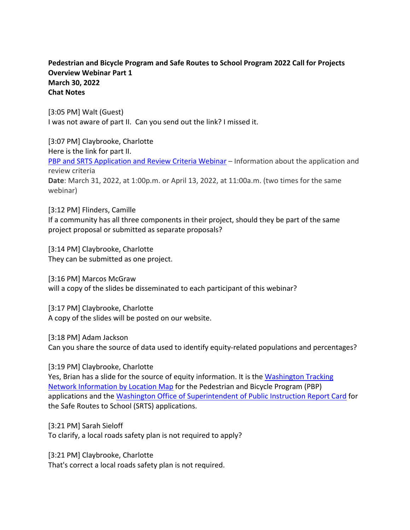# **Pedestrian and Bicycle Program and Safe Routes to School Program 2022 Call for Projects Overview Webinar Part 1 March 30, 2022 Chat Notes**

[3:05 PM] Walt (Guest) I was not aware of part II. Can you send out the link? I missed it.

[3:07 PM] Claybrooke, Charlotte Here is the link for part II. [PBP and SRTS Application and Review Criteria Webinar](https://attendee.gotowebinar.com/rt/8200471502322098190) – Information about the application and review criteria **Date**: March 31, 2022, at 1:00p.m. or April 13, 2022, at 11:00a.m. (two times for the same webinar)

[3:12 PM] Flinders, Camille If a community has all three components in their project, should they be part of the same project proposal or submitted as separate proposals?

[3:14 PM] Claybrooke, Charlotte They can be submitted as one project.

[3:16 PM] Marcos McGraw will a copy of the slides be disseminated to each participant of this webinar?

[3:17 PM] Claybrooke, Charlotte A copy of the slides will be posted on our website.

[3:18 PM] Adam Jackson

Can you share the source of data used to identify equity-related populations and percentages?

[3:19 PM] Claybrooke, Charlotte

Yes, Brian has a slide for the source of equity information. It is the [Washington Tracking](https://fortress.wa.gov/doh/wtn/WTNIBL/)  [Network Information by Location Map](https://fortress.wa.gov/doh/wtn/WTNIBL/) for the Pedestrian and Bicycle Program (PBP) applications and the [Washington Office of Superintendent of Public Instruction](https://washingtonstatereportcard.ospi.k12.wa.us/) Report Card for the Safe Routes to School (SRTS) applications.

[3:21 PM] Sarah Sieloff To clarify, a local roads safety plan is not required to apply?

[3:21 PM] Claybrooke, Charlotte That's correct a local roads safety plan is not required.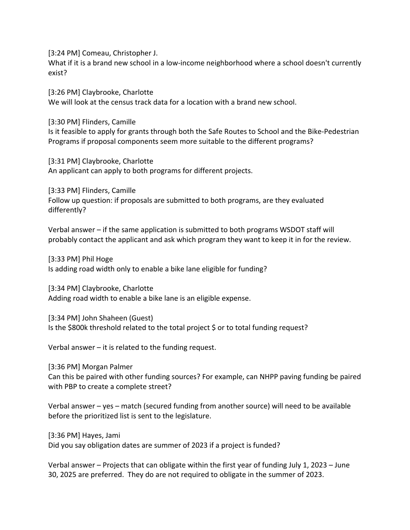[3:24 PM] Comeau, Christopher J.

What if it is a brand new school in a low-income neighborhood where a school doesn't currently exist?

[3:26 PM] Claybrooke, Charlotte We will look at the census track data for a location with a brand new school.

[3:30 PM] Flinders, Camille Is it feasible to apply for grants through both the Safe Routes to School and the Bike-Pedestrian Programs if proposal components seem more suitable to the different programs?

[3:31 PM] Claybrooke, Charlotte An applicant can apply to both programs for different projects.

[3:33 PM] Flinders, Camille Follow up question: if proposals are submitted to both programs, are they evaluated differently?

Verbal answer – if the same application is submitted to both programs WSDOT staff will probably contact the applicant and ask which program they want to keep it in for the review.

[3:33 PM] Phil Hoge Is adding road width only to enable a bike lane eligible for funding?

[3:34 PM] Claybrooke, Charlotte Adding road width to enable a bike lane is an eligible expense.

[3:34 PM] John Shaheen (Guest) Is the \$800k threshold related to the total project \$ or to total funding request?

Verbal answer – it is related to the funding request.

[3:36 PM] Morgan Palmer

Can this be paired with other funding sources? For example, can NHPP paving funding be paired with PBP to create a complete street?

Verbal answer – yes – match (secured funding from another source) will need to be available before the prioritized list is sent to the legislature.

[3:36 PM] Hayes, Jami Did you say obligation dates are summer of 2023 if a project is funded?

Verbal answer – Projects that can obligate within the first year of funding July 1, 2023 – June 30, 2025 are preferred. They do are not required to obligate in the summer of 2023.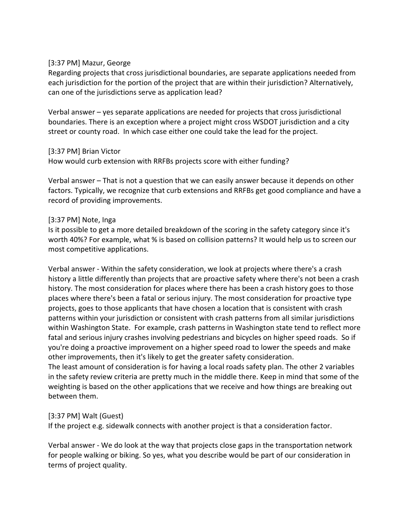### [3:37 PM] Mazur, George

Regarding projects that cross jurisdictional boundaries, are separate applications needed from each jurisdiction for the portion of the project that are within their jurisdiction? Alternatively, can one of the jurisdictions serve as application lead?

Verbal answer – yes separate applications are needed for projects that cross jurisdictional boundaries. There is an exception where a project might cross WSDOT jurisdiction and a city street or county road. In which case either one could take the lead for the project.

## [3:37 PM] Brian Victor

How would curb extension with RRFBs projects score with either funding?

Verbal answer – That is not a question that we can easily answer because it depends on other factors. Typically, we recognize that curb extensions and RRFBs get good compliance and have a record of providing improvements.

## [3:37 PM] Note, Inga

Is it possible to get a more detailed breakdown of the scoring in the safety category since it's worth 40%? For example, what % is based on collision patterns? It would help us to screen our most competitive applications.

Verbal answer - Within the safety consideration, we look at projects where there's a crash history a little differently than projects that are proactive safety where there's not been a crash history. The most consideration for places where there has been a crash history goes to those places where there's been a fatal or serious injury. The most consideration for proactive type projects, goes to those applicants that have chosen a location that is consistent with crash patterns within your jurisdiction or consistent with crash patterns from all similar jurisdictions within Washington State. For example, crash patterns in Washington state tend to reflect more fatal and serious injury crashes involving pedestrians and bicycles on higher speed roads. So if you're doing a proactive improvement on a higher speed road to lower the speeds and make other improvements, then it's likely to get the greater safety consideration. The least amount of consideration is for having a local roads safety plan. The other 2 variables in the safety review criteria are pretty much in the middle there. Keep in mind that some of the weighting is based on the other applications that we receive and how things are breaking out

## [3:37 PM] Walt (Guest)

between them.

If the project e.g. sidewalk connects with another project is that a consideration factor.

Verbal answer - We do look at the way that projects close gaps in the transportation network for people walking or biking. So yes, what you describe would be part of our consideration in terms of project quality.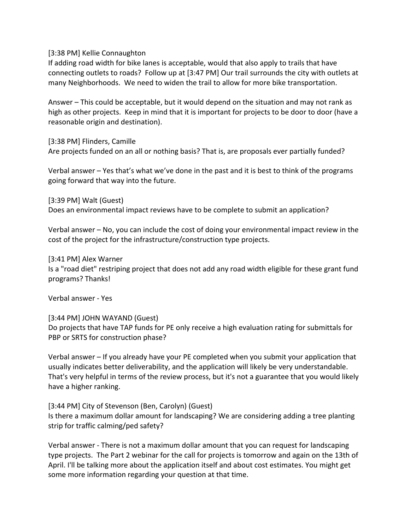[3:38 PM] Kellie Connaughton

If adding road width for bike lanes is acceptable, would that also apply to trails that have connecting outlets to roads? Follow up at [3:47 PM] Our trail surrounds the city with outlets at many Neighborhoods. We need to widen the trail to allow for more bike transportation.

Answer – This could be acceptable, but it would depend on the situation and may not rank as high as other projects. Keep in mind that it is important for projects to be door to door (have a reasonable origin and destination).

[3:38 PM] Flinders, Camille Are projects funded on an all or nothing basis? That is, are proposals ever partially funded?

Verbal answer – Yes that's what we've done in the past and it is best to think of the programs going forward that way into the future.

[3:39 PM] Walt (Guest)

Does an environmental impact reviews have to be complete to submit an application?

Verbal answer – No, you can include the cost of doing your environmental impact review in the cost of the project for the infrastructure/construction type projects.

[3:41 PM] Alex Warner

Is a "road diet" restriping project that does not add any road width eligible for these grant fund programs? Thanks!

Verbal answer - Yes

### [3:44 PM] JOHN WAYAND (Guest)

Do projects that have TAP funds for PE only receive a high evaluation rating for submittals for PBP or SRTS for construction phase?

Verbal answer – If you already have your PE completed when you submit your application that usually indicates better deliverability, and the application will likely be very understandable. That's very helpful in terms of the review process, but it's not a guarantee that you would likely have a higher ranking.

[3:44 PM] City of Stevenson (Ben, Carolyn) (Guest) Is there a maximum dollar amount for landscaping? We are considering adding a tree planting strip for traffic calming/ped safety?

Verbal answer - There is not a maximum dollar amount that you can request for landscaping type projects. The Part 2 webinar for the call for projects is tomorrow and again on the 13th of April. I'll be talking more about the application itself and about cost estimates. You might get some more information regarding your question at that time.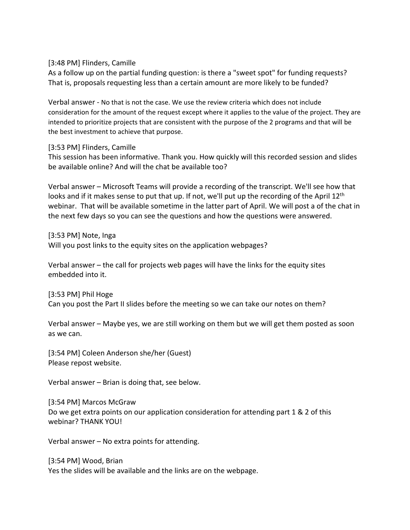[3:48 PM] Flinders, Camille

As a follow up on the partial funding question: is there a "sweet spot" for funding requests? That is, proposals requesting less than a certain amount are more likely to be funded?

Verbal answer - No that is not the case. We use the review criteria which does not include consideration for the amount of the request except where it applies to the value of the project. They are intended to prioritize projects that are consistent with the purpose of the 2 programs and that will be the best investment to achieve that purpose.

### [3:53 PM] Flinders, Camille

This session has been informative. Thank you. How quickly will this recorded session and slides be available online? And will the chat be available too?

Verbal answer – Microsoft Teams will provide a recording of the transcript. We'll see how that looks and if it makes sense to put that up. If not, we'll put up the recording of the April 12<sup>th</sup> webinar. That will be available sometime in the latter part of April. We will post a of the chat in the next few days so you can see the questions and how the questions were answered.

[3:53 PM] Note, Inga Will you post links to the equity sites on the application webpages?

Verbal answer – the call for projects web pages will have the links for the equity sites embedded into it.

[3:53 PM] Phil Hoge Can you post the Part II slides before the meeting so we can take our notes on them?

Verbal answer – Maybe yes, we are still working on them but we will get them posted as soon as we can.

[3:54 PM] Coleen Anderson she/her (Guest) Please repost website.

Verbal answer – Brian is doing that, see below.

[3:54 PM] Marcos McGraw Do we get extra points on our application consideration for attending part 1 & 2 of this webinar? THANK YOU!

Verbal answer – No extra points for attending.

[3:54 PM] Wood, Brian Yes the slides will be available and the links are on the webpage.